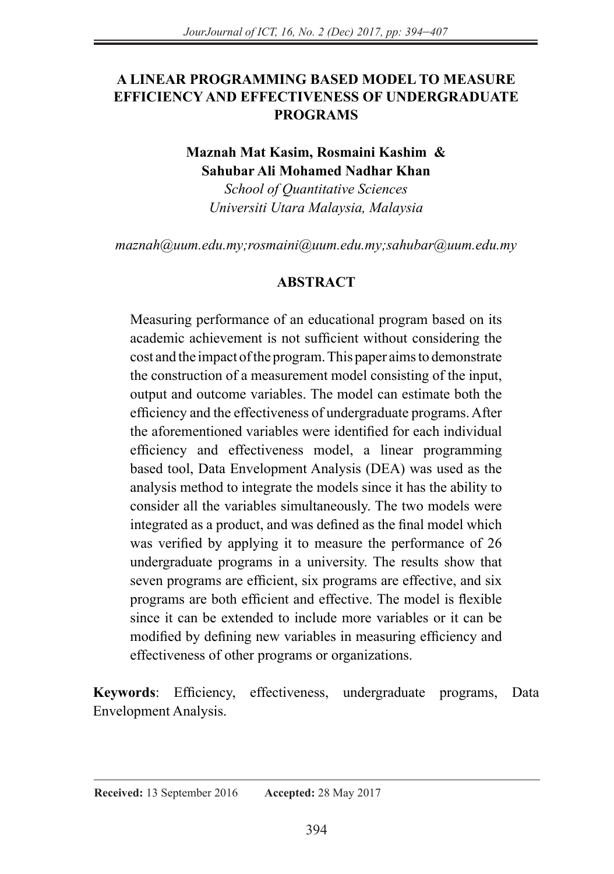# **A LINEAR PROGRAMMING BASED MODEL TO MEASURE EFFICIENCY AND EFFECTIVENESS OF UNDERGRADUATE PROGRAMS**

## **Maznah Mat Kasim, Rosmaini Kashim & Sahubar Ali Mohamed Nadhar Khan**

*School of Quantitative Sciences Universiti Utara Malaysia, Malaysia* 

*maznah@uum.edu.my;rosmaini@uum.edu.my;sahubar@uum.edu.my*

### **ABSTRACT**

Measuring performance of an educational program based on its academic achievement is not sufficient without considering the cost and the impact of the program. This paper aims to demonstrate the construction of a measurement model consisting of the input, output and outcome variables. The model can estimate both the efficiency and the effectiveness of undergraduate programs. After the aforementioned variables were identified for each individual efficiency and effectiveness model, a linear programming based tool, Data Envelopment Analysis (DEA) was used as the analysis method to integrate the models since it has the ability to consider all the variables simultaneously. The two models were integrated as a product, and was defined as the final model which was verified by applying it to measure the performance of 26 undergraduate programs in a university. The results show that seven programs are efficient, six programs are effective, and six programs are both efficient and effective. The model is flexible since it can be extended to include more variables or it can be modified by defining new variables in measuring efficiency and effectiveness of other programs or organizations.

**Keywords**: Efficiency, effectiveness, undergraduate programs, Data Envelopment Analysis.

#### **Received:** 13 September 2016 **Accepted:** 28 May 2017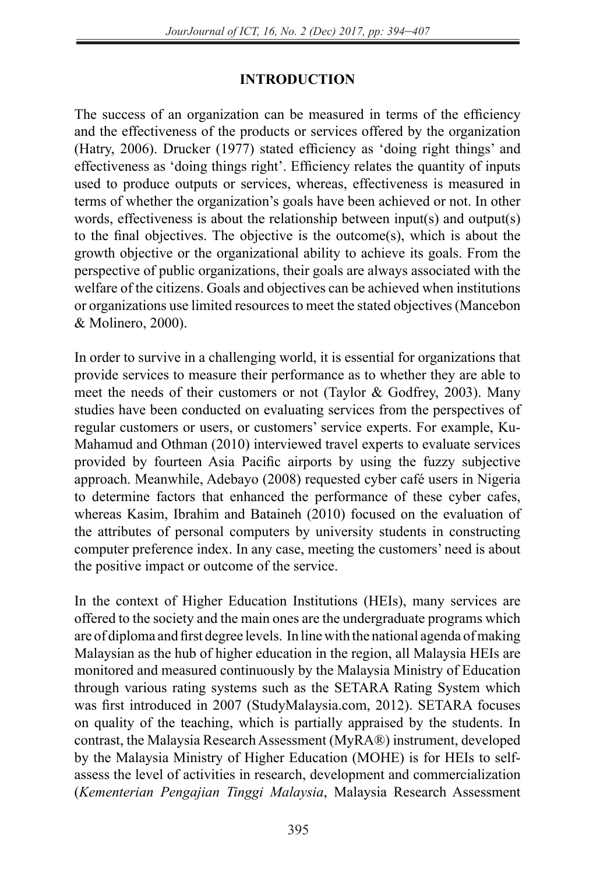# **INTRODUCTION**

The success of an organization can be measured in terms of the efficiency and the effectiveness of the products or services offered by the organization (Hatry, 2006). Drucker (1977) stated efficiency as 'doing right things' and effectiveness as 'doing things right'. Efficiency relates the quantity of inputs used to produce outputs or services, whereas, effectiveness is measured in terms of whether the organization's goals have been achieved or not. In other words, effectiveness is about the relationship between input(s) and output(s) to the final objectives. The objective is the outcome(s), which is about the growth objective or the organizational ability to achieve its goals. From the perspective of public organizations, their goals are always associated with the welfare of the citizens. Goals and objectives can be achieved when institutions or organizations use limited resources to meet the stated objectives (Mancebon & Molinero, 2000).

In order to survive in a challenging world, it is essential for organizations that provide services to measure their performance as to whether they are able to meet the needs of their customers or not (Taylor & Godfrey, 2003). Many studies have been conducted on evaluating services from the perspectives of regular customers or users, or customers' service experts. For example, Ku-Mahamud and Othman (2010) interviewed travel experts to evaluate services provided by fourteen Asia Pacific airports by using the fuzzy subjective approach. Meanwhile, Adebayo (2008) requested cyber café users in Nigeria to determine factors that enhanced the performance of these cyber cafes, whereas Kasim, Ibrahim and Bataineh (2010) focused on the evaluation of the attributes of personal computers by university students in constructing computer preference index. In any case, meeting the customers' need is about the positive impact or outcome of the service.

In the context of Higher Education Institutions (HEIs), many services are offered to the society and the main ones are the undergraduate programs which are of diploma and first degree levels. In line with the national agenda of making Malaysian as the hub of higher education in the region, all Malaysia HEIs are monitored and measured continuously by the Malaysia Ministry of Education through various rating systems such as the SETARA Rating System which was first introduced in 2007 (StudyMalaysia.com, 2012). SETARA focuses on quality of the teaching, which is partially appraised by the students. In contrast, the Malaysia Research Assessment (MyRA®) instrument, developed by the Malaysia Ministry of Higher Education (MOHE) is for HEIs to selfassess the level of activities in research, development and commercialization (*Kementerian Pengajian Tinggi Malaysia*, Malaysia Research Assessment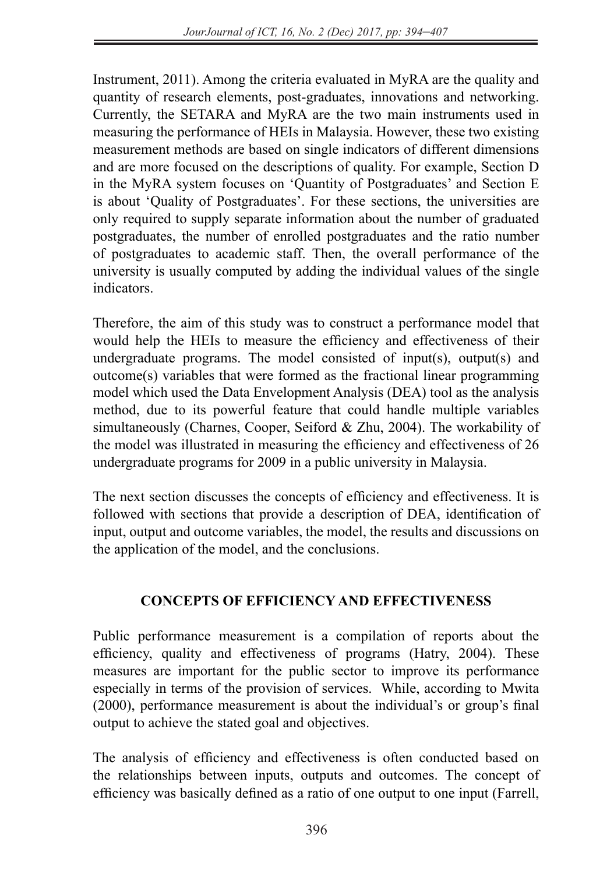Instrument, 2011). Among the criteria evaluated in MyRA are the quality and quantity of research elements, post-graduates, innovations and networking. Currently, the SETARA and MyRA are the two main instruments used in measuring the performance of HEIs in Malaysia. However, these two existing measurement methods are based on single indicators of different dimensions and are more focused on the descriptions of quality. For example, Section D in the MyRA system focuses on 'Quantity of Postgraduates' and Section E is about 'Quality of Postgraduates'. For these sections, the universities are only required to supply separate information about the number of graduated postgraduates, the number of enrolled postgraduates and the ratio number of postgraduates to academic staff. Then, the overall performance of the university is usually computed by adding the individual values of the single indicators.

Therefore, the aim of this study was to construct a performance model that would help the HEIs to measure the efficiency and effectiveness of their undergraduate programs. The model consisted of input(s), output(s) and outcome(s) variables that were formed as the fractional linear programming model which used the Data Envelopment Analysis (DEA) tool as the analysis method, due to its powerful feature that could handle multiple variables simultaneously (Charnes, Cooper, Seiford & Zhu, 2004). The workability of the model was illustrated in measuring the efficiency and effectiveness of 26 undergraduate programs for 2009 in a public university in Malaysia.

The next section discusses the concepts of efficiency and effectiveness. It is followed with sections that provide a description of DEA, identification of input, output and outcome variables, the model, the results and discussions on the application of the model, and the conclusions.

# **CONCEPTS OF EFFICIENCY AND EFFECTIVENESS**

Public performance measurement is a compilation of reports about the efficiency, quality and effectiveness of programs (Hatry, 2004). These measures are important for the public sector to improve its performance especially in terms of the provision of services. While, according to Mwita (2000), performance measurement is about the individual's or group's final output to achieve the stated goal and objectives.

The analysis of efficiency and effectiveness is often conducted based on the relationships between inputs, outputs and outcomes. The concept of efficiency was basically defined as a ratio of one output to one input (Farrell,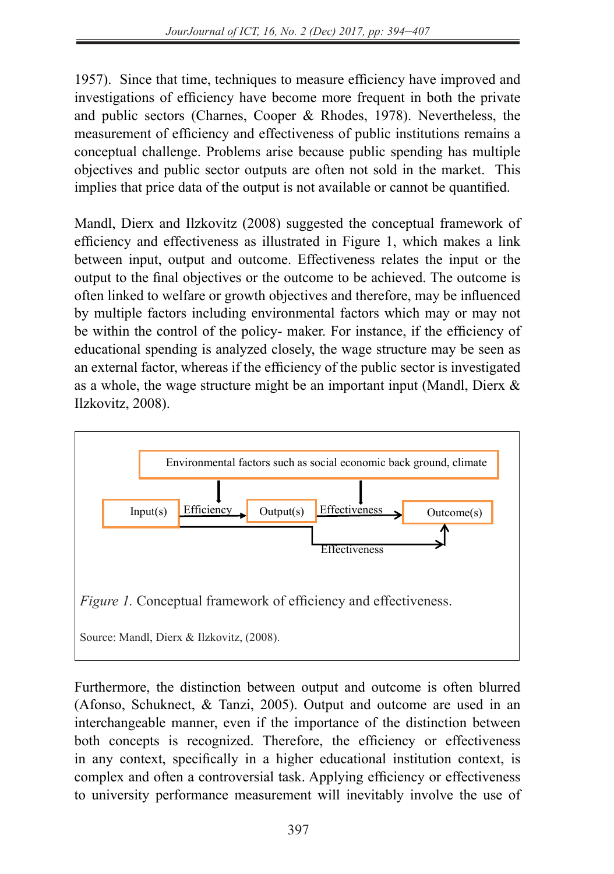1957). Since that time, techniques to measure efficiency have improved and investigations of efficiency have become more frequent in both the private and public sectors (Charnes, Cooper & Rhodes, 1978). Nevertheless, the measurement of efficiency and effectiveness of public institutions remains a conceptual challenge. Problems arise because public spending has multiple objectives and public sector outputs are often not sold in the market. This implies that price data of the output is not available or cannot be quantified.

Mandl, Dierx and Ilzkovitz (2008) suggested the conceptual framework of efficiency and effectiveness as illustrated in Figure 1, which makes a link between input, output and outcome. Effectiveness relates the input or the output to the final objectives or the outcome to be achieved. The outcome is often linked to welfare or growth objectives and therefore, may be influenced by multiple factors including environmental factors which may or may not be within the control of the policy- maker. For instance, if the efficiency of educational spending is analyzed closely, the wage structure may be seen as an external factor, whereas if the efficiency of the public sector is investigated as a whole, the wage structure might be an important input (Mandl, Dierx & Ilzkovitz, 2008).



Furthermore, the distinction between output and outcome is often blurred (Afonso, Schuknect,  $\&$  Tanzi, 2005). Output and outcome are used in an interchangeable manner, even if the importance of the distinction between hoth concepts is recognized. Therefore, the efficiency or effectiveness in any context, specifically in a higher educational institution context, is complex and often a controversial task. Applying efficiency or effectiveness to university performance measurement will inevitably involve the use of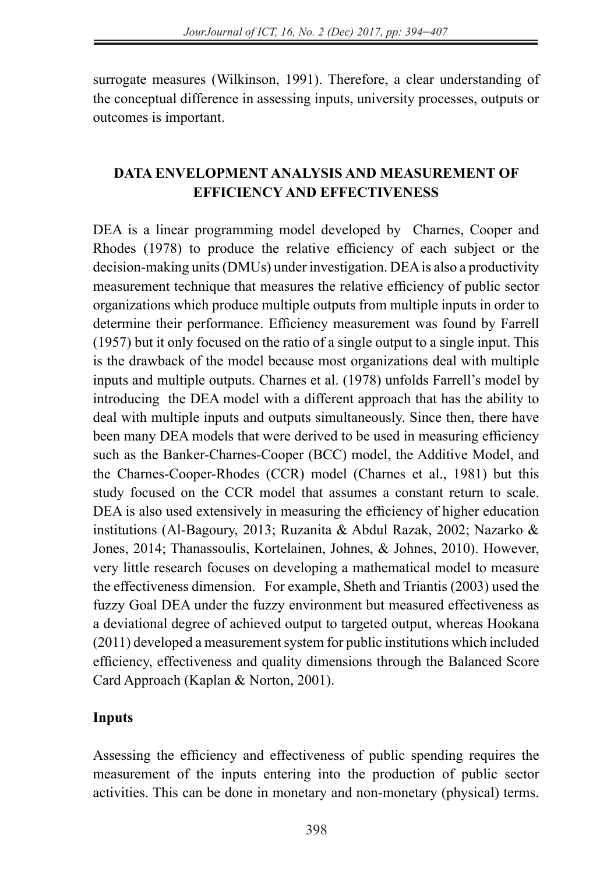surrogate measures (Wilkinson, 1991). Therefore, a clear understanding of the conceptual difference in assessing inputs, university processes, outputs or outcomes is important.

# **DATA ENVELOPMENT ANALYSIS AND MEASUREMENT OF EFFICIENCY AND EFFECTIVENESS**

DEA is a linear programming model developed by Charnes, Cooper and Rhodes (1978) to produce the relative efficiency of each subject or the decision-making units (DMUs) under investigation. DEA is also a productivity measurement technique that measures the relative efficiency of public sector organizations which produce multiple outputs from multiple inputs in order to determine their performance. Efficiency measurement was found by Farrell (1957) but it only focused on the ratio of a single output to a single input. This is the drawback of the model because most organizations deal with multiple inputs and multiple outputs. Charnes et al. (1978) unfolds Farrell's model by introducing the DEA model with a different approach that has the ability to deal with multiple inputs and outputs simultaneously. Since then, there have been many DEA models that were derived to be used in measuring efficiency such as the Banker-Charnes-Cooper (BCC) model, the Additive Model, and the Charnes-Cooper-Rhodes (CCR) model (Charnes et al., 1981) but this study focused on the CCR model that assumes a constant return to scale. DEA is also used extensively in measuring the efficiency of higher education institutions (Al-Bagoury, 2013; Ruzanita & Abdul Razak, 2002; Nazarko & Jones, 2014; Thanassoulis, Kortelainen, Johnes, & Johnes, 2010). However, very little research focuses on developing a mathematical model to measure the effectiveness dimension. For example, Sheth and Triantis (2003) used the fuzzy Goal DEA under the fuzzy environment but measured effectiveness as a deviational degree of achieved output to targeted output, whereas Hookana (2011) developed a measurement system for public institutions which included efficiency, effectiveness and quality dimensions through the Balanced Score Card Approach (Kaplan & Norton, 2001).

## **Inputs**

Assessing the efficiency and effectiveness of public spending requires the measurement of the inputs entering into the production of public sector activities. This can be done in monetary and non-monetary (physical) terms.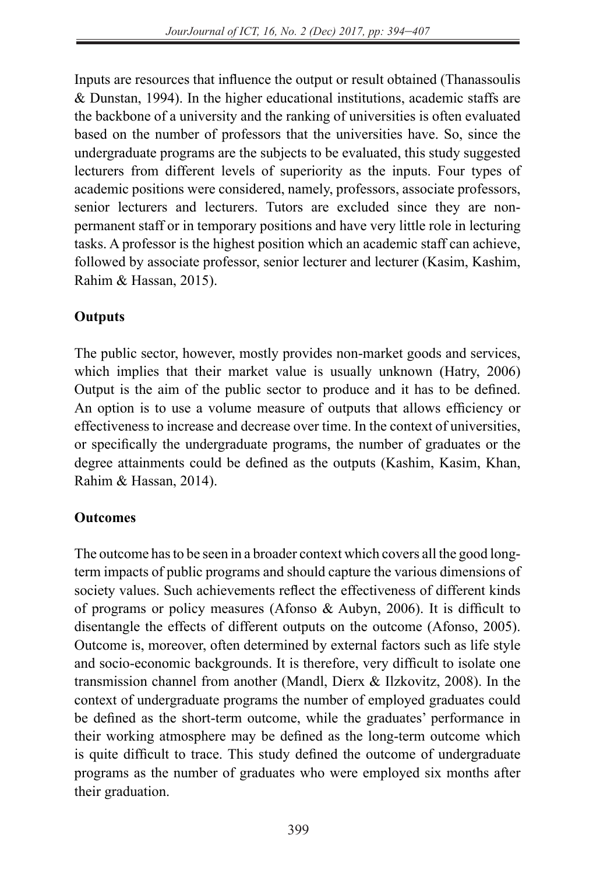Inputs are resources that influence the output or result obtained (Thanassoulis & Dunstan, 1994). In the higher educational institutions, academic staffs are the backbone of a university and the ranking of universities is often evaluated based on the number of professors that the universities have. So, since the undergraduate programs are the subjects to be evaluated, this study suggested lecturers from different levels of superiority as the inputs. Four types of academic positions were considered, namely, professors, associate professors, senior lecturers and lecturers. Tutors are excluded since they are nonpermanent staff or in temporary positions and have very little role in lecturing tasks. A professor is the highest position which an academic staff can achieve, followed by associate professor, senior lecturer and lecturer (Kasim, Kashim, Rahim & Hassan, 2015).

## **Outputs**

The public sector, however, mostly provides non-market goods and services, which implies that their market value is usually unknown (Hatry, 2006) Output is the aim of the public sector to produce and it has to be defined. An option is to use a volume measure of outputs that allows efficiency or effectiveness to increase and decrease over time. In the context of universities, or specifically the undergraduate programs, the number of graduates or the degree attainments could be defined as the outputs (Kashim, Kasim, Khan, Rahim & Hassan, 2014).

## **Outcomes**

The outcome has to be seen in a broader context which covers all the good longterm impacts of public programs and should capture the various dimensions of society values. Such achievements reflect the effectiveness of different kinds of programs or policy measures (Afonso & Aubyn, 2006). It is difficult to disentangle the effects of different outputs on the outcome (Afonso, 2005). Outcome is, moreover, often determined by external factors such as life style and socio-economic backgrounds. It is therefore, very difficult to isolate one transmission channel from another (Mandl, Dierx & Ilzkovitz, 2008). In the context of undergraduate programs the number of employed graduates could be defined as the short-term outcome, while the graduates' performance in their working atmosphere may be defined as the long-term outcome which is quite difficult to trace. This study defined the outcome of undergraduate programs as the number of graduates who were employed six months after their graduation.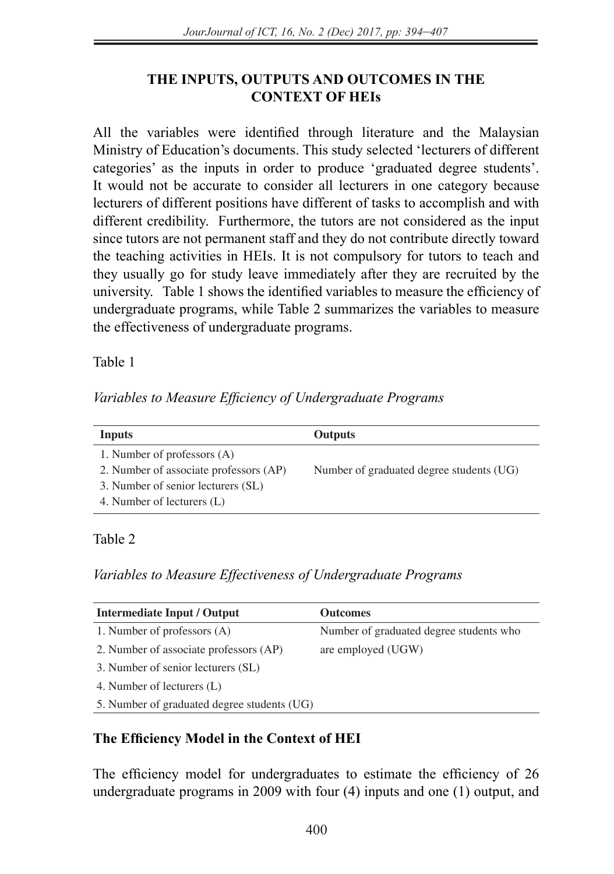# **THE INPUTS, OUTPUTS AND OUTCOMES IN THE CONTEXT OF HEIs**

All the variables were identified through literature and the Malaysian Ministry of Education's documents. This study selected 'lecturers of different categories' as the inputs in order to produce 'graduated degree students'. It would not be accurate to consider all lecturers in one category because lecturers of different positions have different of tasks to accomplish and with different credibility. Furthermore, the tutors are not considered as the input since tutors are not permanent staff and they do not contribute directly toward the teaching activities in HEIs. It is not compulsory for tutors to teach and they usually go for study leave immediately after they are recruited by the university. Table 1 shows the identified variables to measure the efficiency of undergraduate programs, while Table 2 summarizes the variables to measure the effectiveness of undergraduate programs.

Table 1

*Variables to Measure Efficiency of Undergraduate Programs*

| Inputs                                 | <b>Outputs</b>                           |
|----------------------------------------|------------------------------------------|
| 1. Number of professors (A)            |                                          |
| 2. Number of associate professors (AP) | Number of graduated degree students (UG) |
| 3. Number of senior lecturers (SL)     |                                          |
| 4. Number of lecturers (L)             |                                          |

# Table 2

# *Variables to Measure Effectiveness of Undergraduate Programs*

| Intermediate Input / Output                 | <b>Outcomes</b>                         |
|---------------------------------------------|-----------------------------------------|
| 1. Number of professors (A)                 | Number of graduated degree students who |
| 2. Number of associate professors (AP)      | are employed (UGW)                      |
| 3. Number of senior lecturers (SL)          |                                         |
| 4. Number of lecturers (L)                  |                                         |
| 5. Number of graduated degree students (UG) |                                         |

# **The Efficiency Model in the Context of HEI**

The efficiency model for undergraduates to estimate the efficiency of 26 undergraduate programs in 2009 with four (4) inputs and one (1) output, and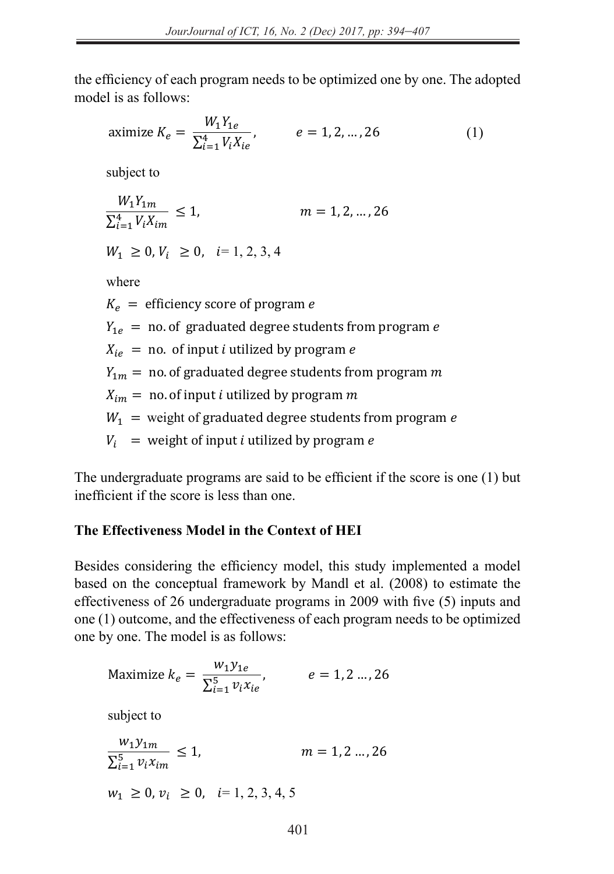the efficiency of each program needs to be optimized one by one. The adopted model is as follows:

aximize 
$$
K_e = \frac{W_1 Y_{1e}}{\sum_{i=1}^4 V_i X_{ie}}
$$
,  $e = 1, 2, ..., 26$  (1)

subject to

$$
\frac{W_1 Y_{1m}}{\sum_{i=1}^4 V_i X_{im}} \le 1, \qquad m = 1, 2, ..., 26
$$

 $W_1 \geq 0, V_i \geq 0, i = 1, 2, 3, 4$ 

where

 $K_e$  = efficiency score of program e  $Y_{1e}$  = no. of graduated degree students from program  $e$  $X_{ie}$  = no. of input  $i$  utilized by program  $e$  $Y_{1 m}$  = no. of graduated degree students from program m  $X_{im} = \text{ no. of input } \iota \text{ utilized by program } m$  $W_1$  = weight of graduated degree students from program  $e$  $V_i$  = weight of input *i* utilized by program *e*  $X_e$  = efficiency score o<br> $X_{1e}$  = no. of graduated  $\frac{1}{2}$  $-$  n  $\frac{1}{2}$  =  $\frac{1}{2}$  $m = n$ o. of input i utilized by program m

The undergraduate programs are said to be efficient if the score is one (1) but I'll ine undergraduate programs are said to be<br>inefficient if the score is less than one.  $\overline{z}$  $n$  one.  $\mathcal{L}_{\text{max}}$ 

# The Effectiveness Model in the Context of **HEI**

Besides considering the efficiency model, this study implemented a model based on the conceptual framework by Mandl et al.  $(2008)$  to estimate the effectiveness of 26 undergraduate programs in 2009 with five  $(5)$  inputs and  $\frac{1}{20}$  one (1) outcome, and the effectiveness of each program needs to be optimized one by one. The model is as follows:  $\epsilon$  considering the efficiency model this study implements  $\mu$  outome, and the energy energy of each program

Maximize 
$$
k_e = \frac{w_1 y_{1e}}{\sum_{i=1}^5 v_i x_{ie}},
$$
  $e = 1, 2 ..., 26$ 

subject to subject to

$$
\frac{w_1 y_{1m}}{\sum_{i=1}^{5} v_i x_{im}} \le 1, \qquad m = 1, 2 \dots, 26
$$
  

$$
w_1 \ge 0, v_i \ge 0, \quad i = 1, 2, 3, 4, 5
$$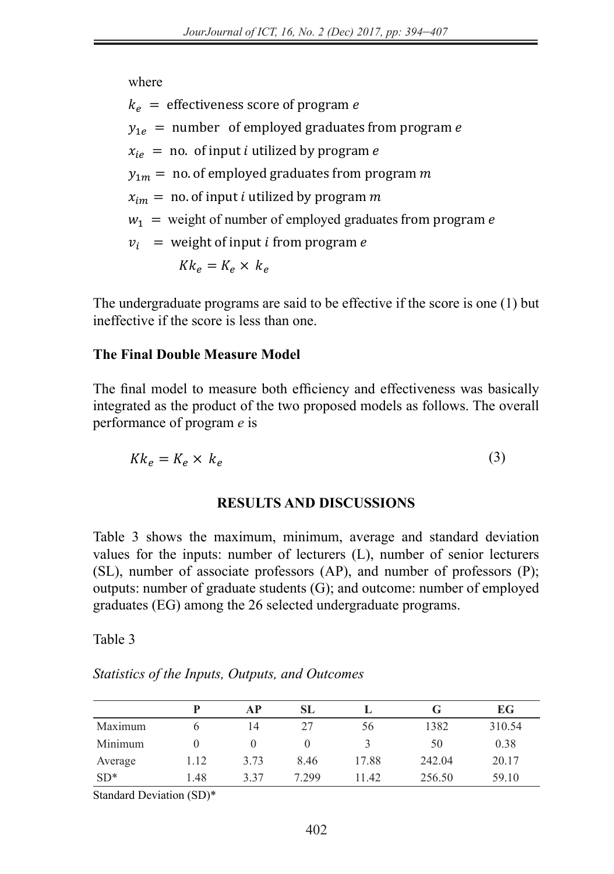where

 $k_e$  = effectiveness score of program e

 $y_{1e}$  = number of employed graduates from program e  $\sum_{i=1}^{n}$ 

 $x_{i}$  = no. of input *i* utilized by program *e* subject to the set of the set of the set of the set of the set of the set of the set of the set of the set of <br>set of the set of the set of the set of the set of the set of the set of the set of the set of the set of the <br>

 $y_{1m}$  = no. of employed graduates from program m

 $x_{im} = n$ o. of input *i* utilized by program m 11

 $w_1$  = weight of number of employed graduates from program e ∑

 $v_i$  = weight of input *i* from program *e* 

$$
Kk_e = K_e \times k_e
$$

The undergraduate programs are said to be effective if the score is one  $(1)$  but ineffective if the score is less than one.

# **The Final Double Measure Model**

The final model to measure both efficiency and effectiveness was basically integrated as the product of the two proposed models as follows. The overall performance of program  $q$  is performance of program *e* is

$$
Kk_e = K_e \times k_e \tag{3}
$$

## **RESULTS AND DISCUSSIONS**

Table 3 shows the maximum, minimum, average and standard deviation values for the inputs: number of lecturers (L), number of senior lecturers (SL), number of associate professors (AP), and number of professors (P); outputs: number of graduate students (G); and outcome: number of employed graduates (EG) among the 26 selected undergraduate programs.

Table 3

*Statistics of the Inputs, Outputs, and Outcomes* 

|         |      | AP   | SL      |       | G      | EG     |
|---------|------|------|---------|-------|--------|--------|
| Maximum |      | 14   | 27      | 56    | 1382   | 310.54 |
| Minimum |      |      |         |       | 50     | 0.38   |
| Average | 1.12 | 3.73 | 8.46    | 17.88 | 242.04 | 20.17  |
| $SD*$   | 1.48 | 337  | 7 2 9 9 | 11.42 | 256.50 | 59.10  |

Standard Deviation (SD)\*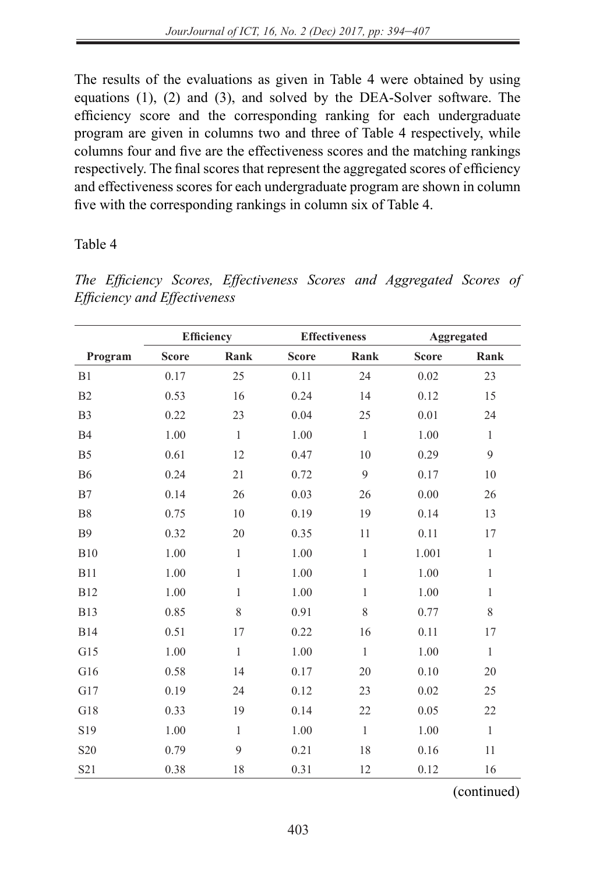The results of the evaluations as given in Table 4 were obtained by using equations (1), (2) and (3), and solved by the DEA-Solver software. The efficiency score and the corresponding ranking for each undergraduate program are given in columns two and three of Table 4 respectively, while columns four and five are the effectiveness scores and the matching rankings respectively. The final scores that represent the aggregated scores of efficiency and effectiveness scores for each undergraduate program are shown in column five with the corresponding rankings in column six of Table 4.

### Table 4

|                              | The Efficiency Scores, Effectiveness Scores and Aggregated Scores of |  |  |  |
|------------------------------|----------------------------------------------------------------------|--|--|--|
| Efficiency and Effectiveness |                                                                      |  |  |  |

|                 | <b>Efficiency</b> |              |              | <b>Effectiveness</b> | Aggregated   |              |
|-----------------|-------------------|--------------|--------------|----------------------|--------------|--------------|
| Program         | <b>Score</b>      | Rank         | <b>Score</b> | Rank                 | <b>Score</b> | Rank         |
| B1              | 0.17              | 25           | 0.11         | 24                   | 0.02         | 23           |
| B <sub>2</sub>  | 0.53              | 16           | 0.24         | 14                   | 0.12         | 15           |
| B <sub>3</sub>  | 0.22              | 23           | 0.04         | 25                   | 0.01         | 24           |
| <b>B4</b>       | 1.00              | $\mathbf{1}$ | 1.00         | $\mathbf{1}$         | 1.00         | $\mathbf{1}$ |
| B <sub>5</sub>  | 0.61              | 12           | 0.47         | 10                   | 0.29         | 9            |
| <b>B6</b>       | 0.24              | 21           | 0.72         | 9                    | 0.17         | 10           |
| B7              | 0.14              | 26           | 0.03         | 26                   | 0.00         | 26           |
| <b>B8</b>       | 0.75              | 10           | 0.19         | 19                   | 0.14         | 13           |
| <b>B</b> 9      | 0.32              | 20           | 0.35         | 11                   | 0.11         | 17           |
| <b>B10</b>      | 1.00              | $\mathbf{1}$ | 1.00         | $\mathbf{1}$         | 1.001        | $\mathbf{1}$ |
| <b>B11</b>      | 1.00              | $\mathbf{1}$ | 1.00         | $\mathbf{1}$         | 1.00         | $\,1$        |
| <b>B12</b>      | 1.00              | $\mathbf{1}$ | 1.00         | 1                    | 1.00         | $\mathbf{1}$ |
| <b>B13</b>      | 0.85              | 8            | 0.91         | 8                    | 0.77         | 8            |
| <b>B14</b>      | 0.51              | 17           | 0.22         | 16                   | 0.11         | 17           |
| G15             | 1.00              | $\mathbf{1}$ | 1.00         | $\mathbf{1}$         | 1.00         | $\mathbf{1}$ |
| G16             | 0.58              | 14           | 0.17         | 20                   | 0.10         | 20           |
| G17             | 0.19              | 24           | 0.12         | 23                   | 0.02         | 25           |
| G18             | 0.33              | 19           | 0.14         | 22                   | 0.05         | 22           |
| S19             | 1.00              | $\mathbf{1}$ | 1.00         | $\mathbf{1}$         | 1.00         | $\,1$        |
| S <sub>20</sub> | 0.79              | 9            | 0.21         | 18                   | 0.16         | $11\,$       |
| S21             | 0.38              | 18           | 0.31         | 12                   | 0.12         | 16           |

(continued)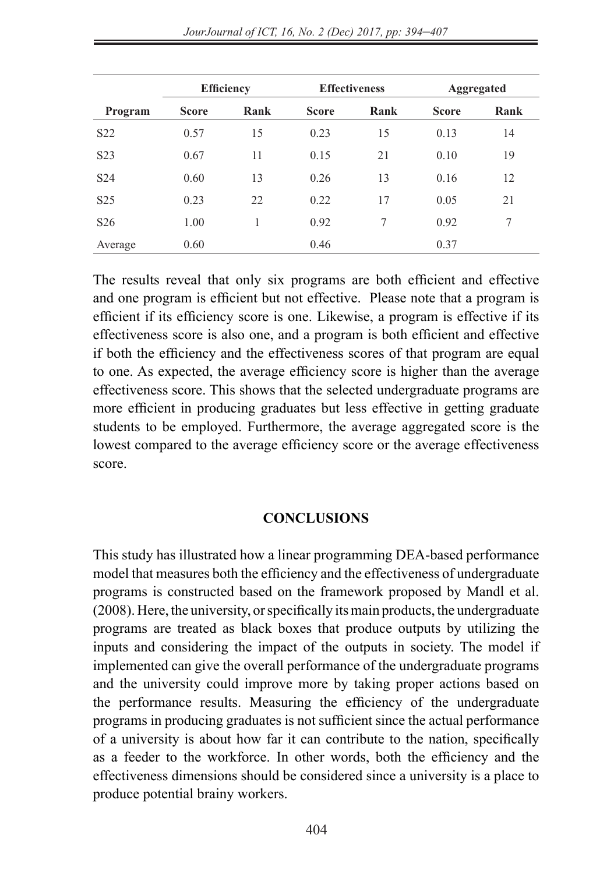|                  | <b>Efficiency</b> |      |              | <b>Effectiveness</b> | Aggregated   |      |
|------------------|-------------------|------|--------------|----------------------|--------------|------|
| Program          | <b>Score</b>      | Rank | <b>Score</b> | Rank                 | <b>Score</b> | Rank |
| S <sub>22</sub>  | 0.57              | 15   | 0.23         | 15                   | 0.13         | 14   |
| S <sub>2</sub> 3 | 0.67              | 11   | 0.15         | 21                   | 0.10         | 19   |
| S <sub>24</sub>  | 0.60              | 13   | 0.26         | 13                   | 0.16         | 12   |
| S <sub>25</sub>  | 0.23              | 22   | 0.22         | 17                   | 0.05         | 21   |
| S <sub>26</sub>  | 1.00              |      | 0.92         | 7                    | 0.92         | 7    |
| Average          | 0.60              |      | 0.46         |                      | 0.37         |      |

The results reveal that only six programs are both efficient and effective and one program is efficient but not effective. Please note that a program is efficient if its efficiency score is one. Likewise, a program is effective if its effectiveness score is also one, and a program is both efficient and effective if both the efficiency and the effectiveness scores of that program are equal to one. As expected, the average efficiency score is higher than the average effectiveness score. This shows that the selected undergraduate programs are more efficient in producing graduates but less effective in getting graduate students to be employed. Furthermore, the average aggregated score is the lowest compared to the average efficiency score or the average effectiveness score.

#### **CONCLUSIONS**

This study has illustrated how a linear programming DEA-based performance model that measures both the efficiency and the effectiveness of undergraduate programs is constructed based on the framework proposed by Mandl et al. (2008). Here, the university, or specifically its main products, the undergraduate programs are treated as black boxes that produce outputs by utilizing the inputs and considering the impact of the outputs in society. The model if implemented can give the overall performance of the undergraduate programs and the university could improve more by taking proper actions based on the performance results. Measuring the efficiency of the undergraduate programs in producing graduates is not sufficient since the actual performance of a university is about how far it can contribute to the nation, specifically as a feeder to the workforce. In other words, both the efficiency and the effectiveness dimensions should be considered since a university is a place to produce potential brainy workers.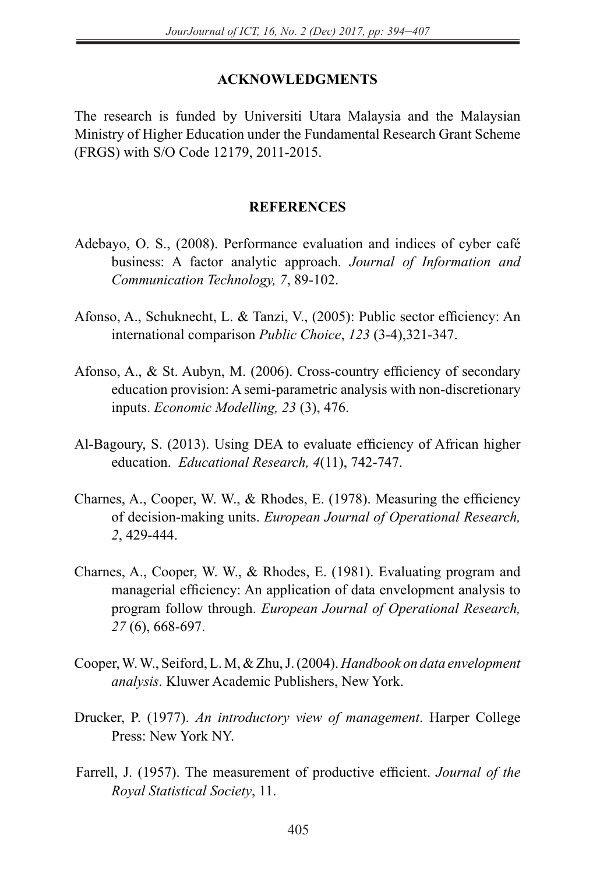#### **ACKNOWLEDGMENTS**

The research is funded by Universiti Utara Malaysia and the Malaysian Ministry of Higher Education under the Fundamental Research Grant Scheme (FRGS) with S/O Code 12179, 2011-2015.

#### **REFERENCES**

- Adebayo, O. S., (2008). Performance evaluation and indices of cyber café business: A factor analytic approach. *Journal of Information and Communication Technology, 7*, 89-102.
- Afonso, A., Schuknecht, L. & Tanzi, V., (2005): Public sector efficiency: An international comparison *Public Choice*, *123* (3-4),321-347.
- Afonso, A., & St. Aubyn, M. (2006). Cross-country efficiency of secondary education provision: A semi-parametric analysis with non-discretionary inputs. *Economic Modelling, 23* (3), 476.
- Al-Bagoury, S. (2013). Using DEA to evaluate efficiency of African higher education. *Educational Research, 4*(11), 742-747.
- Charnes, A., Cooper, W. W., & Rhodes, E. (1978). Measuring the efficiency of decision-making units. *European Journal of Operational Research, 2*, 429-444.
- Charnes, A., Cooper, W. W., & Rhodes, E. (1981). Evaluating program and managerial efficiency: An application of data envelopment analysis to program follow through. *European Journal of Operational Research, 27* (6), 668-697.
- Cooper, W. W., Seiford, L. M, & Zhu, J. (2004). *Handbook on data envelopment analysis*. Kluwer Academic Publishers, New York.
- Drucker, P. (1977). *An introductory view of management*. Harper College Press: New York NY.
- Farrell, J. (1957). The measurement of productive efficient. *Journal of the Royal Statistical Society*, 11.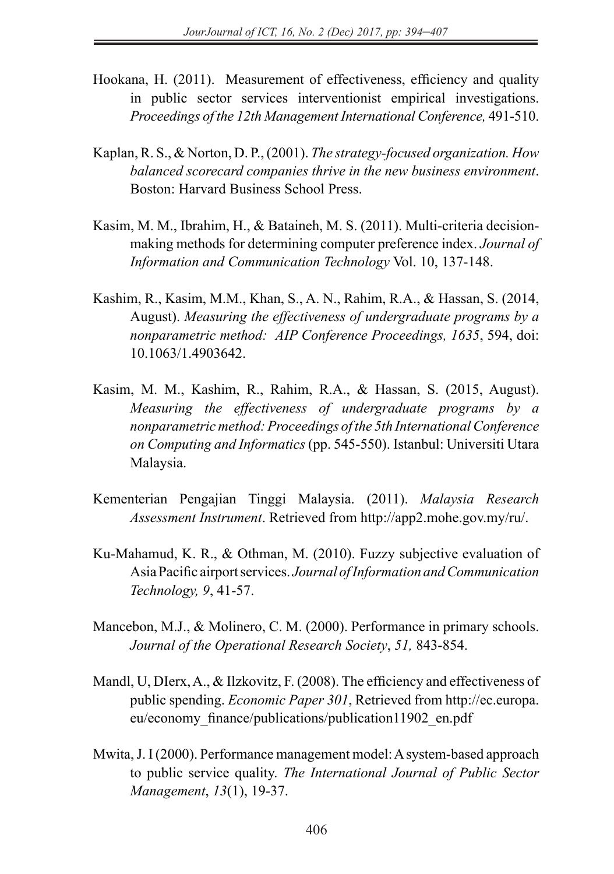- Hookana, H. (2011). Measurement of effectiveness, efficiency and quality in public sector services interventionist empirical investigations. *Proceedings of the 12th Management International Conference,* 491-510.
- Kaplan, R. S., & Norton, D. P., (2001). *The strategy-focused organization. How balanced scorecard companies thrive in the new business environment*. Boston: Harvard Business School Press.
- Kasim, M. M., Ibrahim, H., & Bataineh, M. S. (2011). Multi-criteria decisionmaking methods for determining computer preference index. *Journal of Information and Communication Technology* Vol. 10, 137-148.
- Kashim, R., Kasim, M.M., Khan, S., A. N., Rahim, R.A., & Hassan, S. (2014, August). *Measuring the effectiveness of undergraduate programs by a nonparametric method: AIP Conference Proceedings, 1635*, 594, doi: 10.1063/1.4903642.
- Kasim, M. M., Kashim, R., Rahim, R.A., & Hassan, S. (2015, August). *Measuring the effectiveness of undergraduate programs by a nonparametric method: Proceedings of the 5th International Conference on Computing and Informatics* (pp. 545-550). Istanbul: Universiti Utara Malaysia.
- Kementerian Pengajian Tinggi Malaysia. (2011). *Malaysia Research Assessment Instrument*. Retrieved from http://app2.mohe.gov.my/ru/.
- Ku-Mahamud, K. R., & Othman, M. (2010). Fuzzy subjective evaluation of Asia Pacific airport services. *Journal of Information and Communication Technology, 9*, 41-57.
- Mancebon, M.J., & Molinero, C. M. (2000). Performance in primary schools. *Journal of the Operational Research Society*, *51,* 843-854.
- Mandl, U, DIerx, A., & Ilzkovitz, F. (2008). The efficiency and effectiveness of public spending. *Economic Paper 301*, Retrieved from http://ec.europa. eu/economy\_finance/publications/publication11902\_en.pdf
- Mwita, J. I (2000). Performance management model: A system-based approach to public service quality. *The International Journal of Public Sector Management*, *13*(1), 19-37.